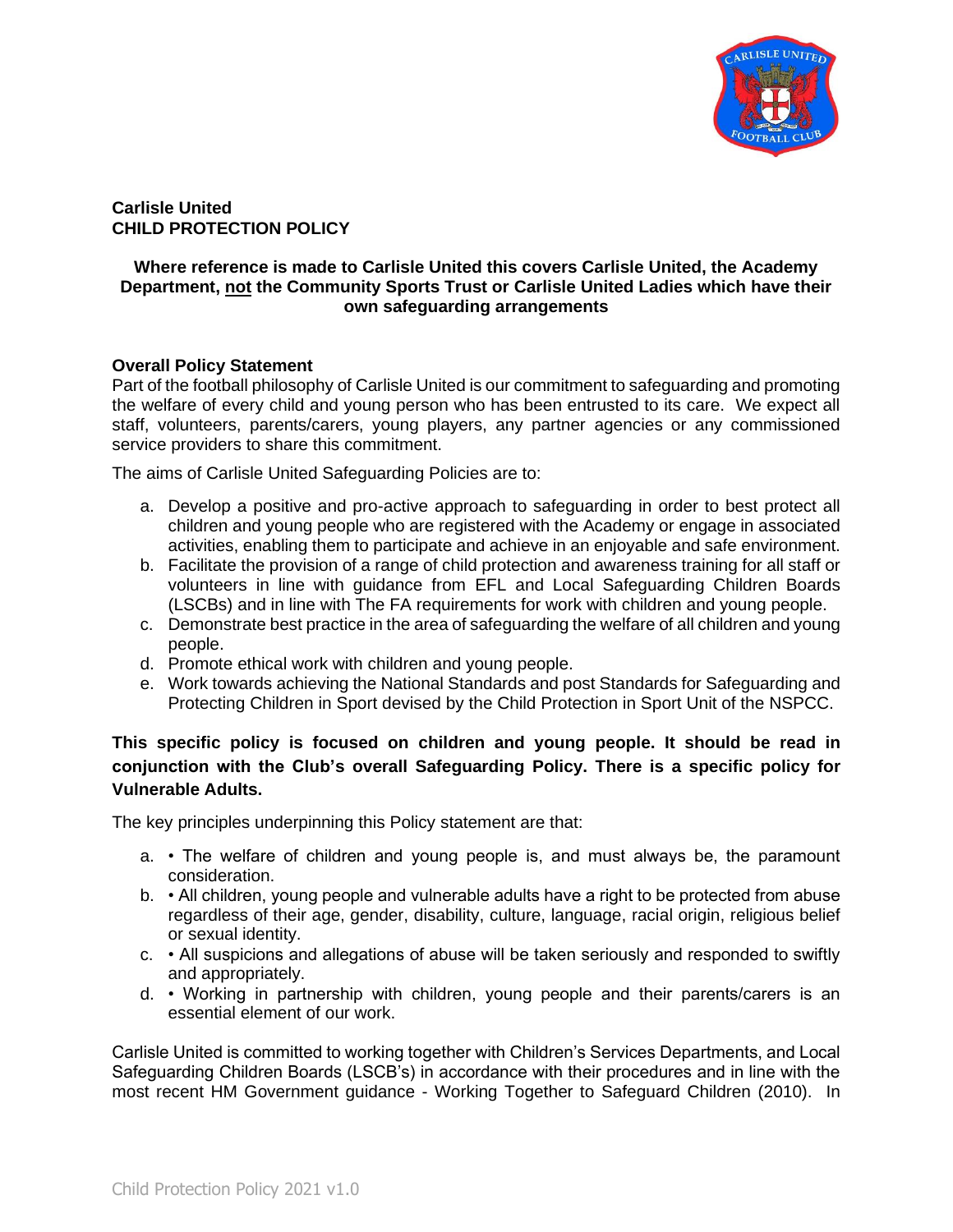

**Carlisle United CHILD PROTECTION POLICY**

## **Where reference is made to Carlisle United this covers Carlisle United, the Academy Department, not the Community Sports Trust or Carlisle United Ladies which have their own safeguarding arrangements**

### **Overall Policy Statement**

Part of the football philosophy of Carlisle United is our commitment to safeguarding and promoting the welfare of every child and young person who has been entrusted to its care. We expect all staff, volunteers, parents/carers, young players, any partner agencies or any commissioned service providers to share this commitment.

The aims of Carlisle United Safeguarding Policies are to:

- a. Develop a positive and pro-active approach to safeguarding in order to best protect all children and young people who are registered with the Academy or engage in associated activities, enabling them to participate and achieve in an enjoyable and safe environment.
- b. Facilitate the provision of a range of child protection and awareness training for all staff or volunteers in line with guidance from EFL and Local Safeguarding Children Boards (LSCBs) and in line with The FA requirements for work with children and young people.
- c. Demonstrate best practice in the area of safeguarding the welfare of all children and young people.
- d. Promote ethical work with children and young people.
- e. Work towards achieving the National Standards and post Standards for Safeguarding and Protecting Children in Sport devised by the Child Protection in Sport Unit of the NSPCC.

# **This specific policy is focused on children and young people. It should be read in conjunction with the Club's overall Safeguarding Policy. There is a specific policy for Vulnerable Adults.**

The key principles underpinning this Policy statement are that:

- a. The welfare of children and young people is, and must always be, the paramount consideration.
- b. All children, young people and vulnerable adults have a right to be protected from abuse regardless of their age, gender, disability, culture, language, racial origin, religious belief or sexual identity.
- c. All suspicions and allegations of abuse will be taken seriously and responded to swiftly and appropriately.
- d. Working in partnership with children, young people and their parents/carers is an essential element of our work.

Carlisle United is committed to working together with Children's Services Departments, and Local Safeguarding Children Boards (LSCB's) in accordance with their procedures and in line with the most recent HM Government guidance - Working Together to Safeguard Children (2010). In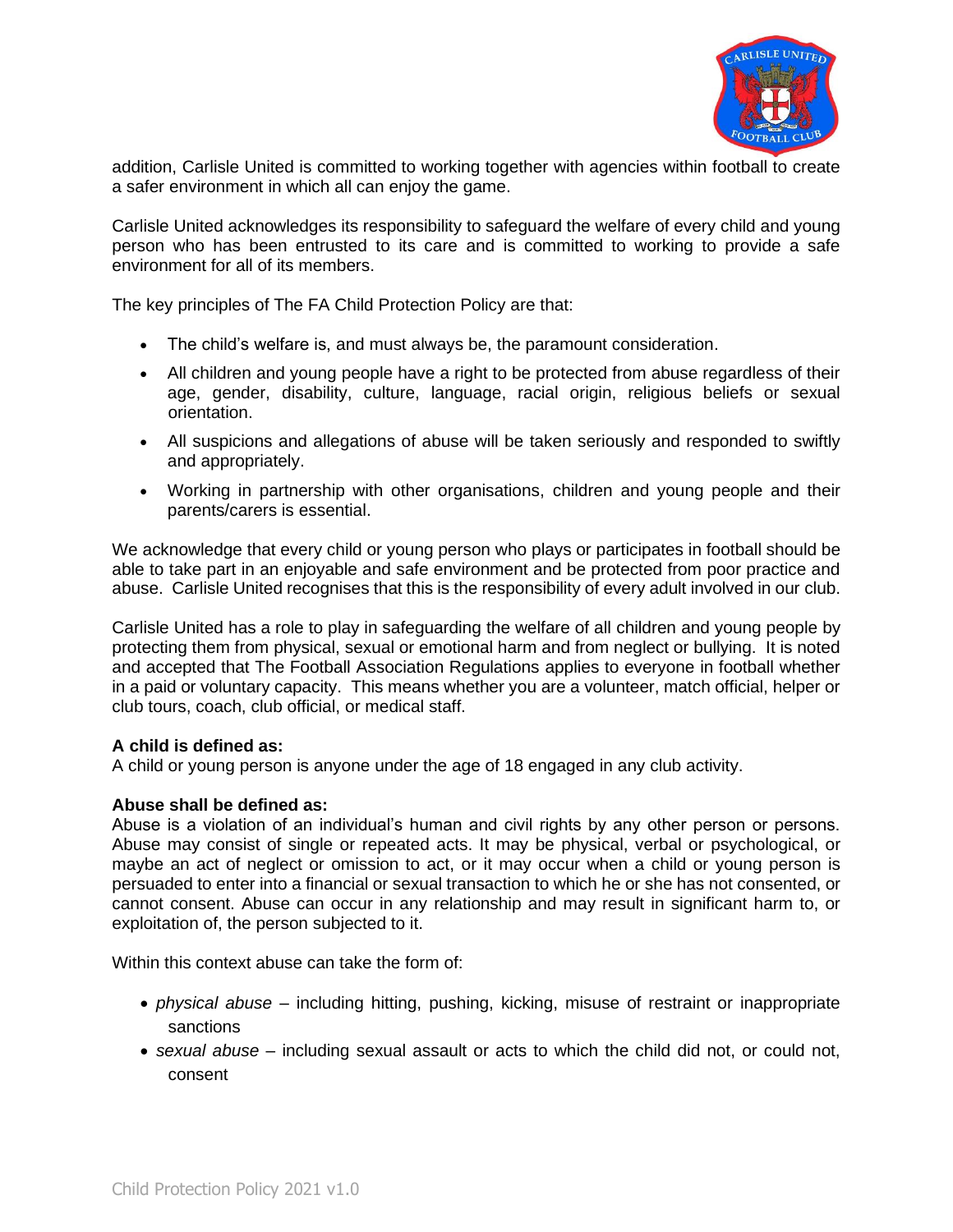

addition, Carlisle United is committed to working together with agencies within football to create a safer environment in which all can enjoy the game.

Carlisle United acknowledges its responsibility to safeguard the welfare of every child and young person who has been entrusted to its care and is committed to working to provide a safe environment for all of its members.

The key principles of The FA Child Protection Policy are that:

- The child's welfare is, and must always be, the paramount consideration.
- All children and young people have a right to be protected from abuse regardless of their age, gender, disability, culture, language, racial origin, religious beliefs or sexual orientation.
- All suspicions and allegations of abuse will be taken seriously and responded to swiftly and appropriately.
- Working in partnership with other organisations, children and young people and their parents/carers is essential.

We acknowledge that every child or young person who plays or participates in football should be able to take part in an enjoyable and safe environment and be protected from poor practice and abuse. Carlisle United recognises that this is the responsibility of every adult involved in our club.

Carlisle United has a role to play in safeguarding the welfare of all children and young people by protecting them from physical, sexual or emotional harm and from neglect or bullying. It is noted and accepted that The Football Association Regulations applies to everyone in football whether in a paid or voluntary capacity. This means whether you are a volunteer, match official, helper or club tours, coach, club official, or medical staff.

#### **A child is defined as:**

A child or young person is anyone under the age of 18 engaged in any club activity.

#### **Abuse shall be defined as:**

Abuse is a violation of an individual's human and civil rights by any other person or persons. Abuse may consist of single or repeated acts. It may be physical, verbal or psychological, or maybe an act of neglect or omission to act, or it may occur when a child or young person is persuaded to enter into a financial or sexual transaction to which he or she has not consented, or cannot consent. Abuse can occur in any relationship and may result in significant harm to, or exploitation of, the person subjected to it.

Within this context abuse can take the form of:

- *physical abuse* including hitting, pushing, kicking, misuse of restraint or inappropriate sanctions
- *sexual abuse* including sexual assault or acts to which the child did not, or could not, consent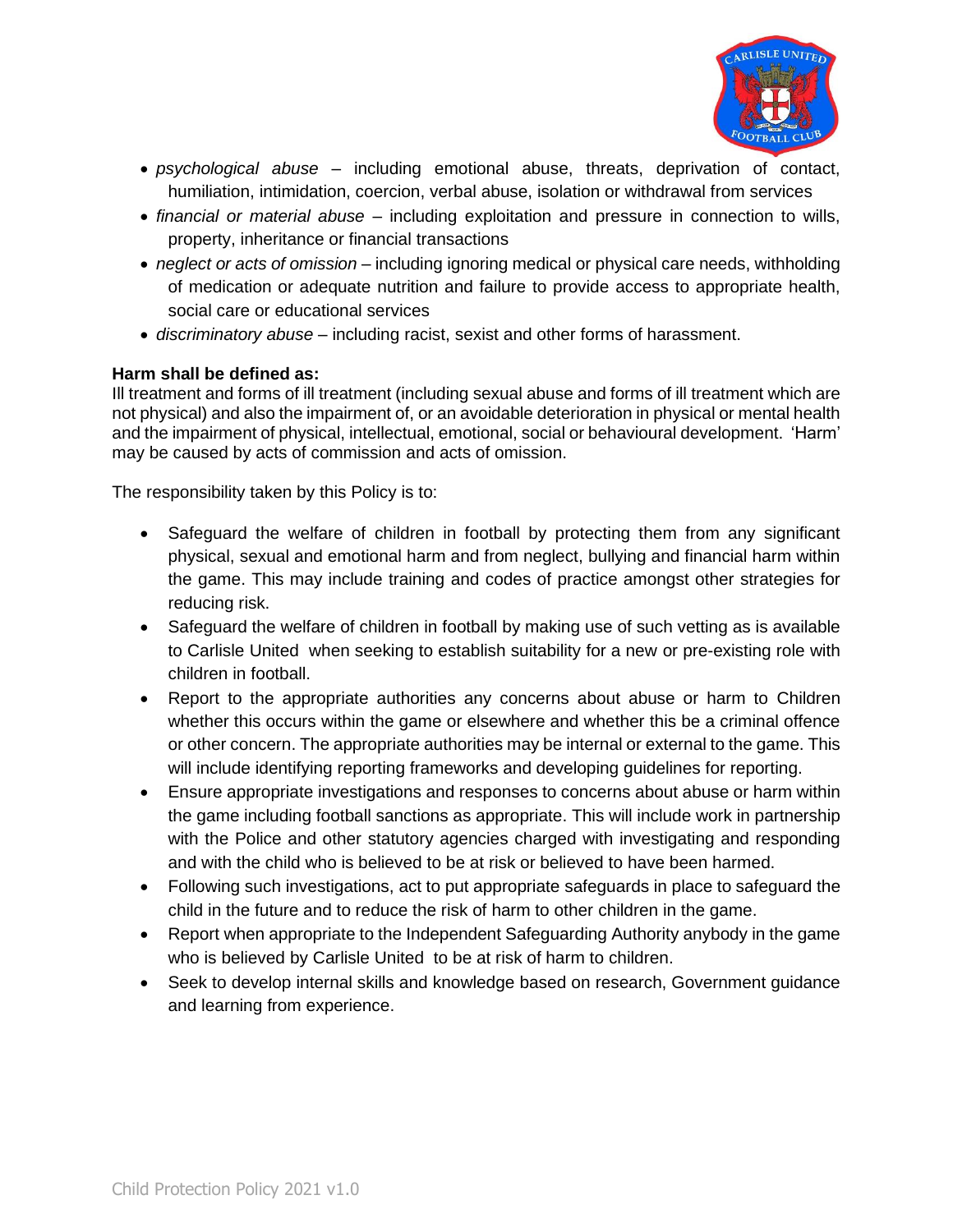

- *psychological abuse* including emotional abuse, threats, deprivation of contact, humiliation, intimidation, coercion, verbal abuse, isolation or withdrawal from services
- *financial or material abuse* including exploitation and pressure in connection to wills, property, inheritance or financial transactions
- *neglect or acts of omission* including ignoring medical or physical care needs, withholding of medication or adequate nutrition and failure to provide access to appropriate health, social care or educational services
- *discriminatory abuse* including racist, sexist and other forms of harassment.

# **Harm shall be defined as:**

Ill treatment and forms of ill treatment (including sexual abuse and forms of ill treatment which are not physical) and also the impairment of, or an avoidable deterioration in physical or mental health and the impairment of physical, intellectual, emotional, social or behavioural development. 'Harm' may be caused by acts of commission and acts of omission.

The responsibility taken by this Policy is to:

- Safeguard the welfare of children in football by protecting them from any significant physical, sexual and emotional harm and from neglect, bullying and financial harm within the game. This may include training and codes of practice amongst other strategies for reducing risk.
- Safeguard the welfare of children in football by making use of such vetting as is available to Carlisle United when seeking to establish suitability for a new or pre-existing role with children in football.
- Report to the appropriate authorities any concerns about abuse or harm to Children whether this occurs within the game or elsewhere and whether this be a criminal offence or other concern. The appropriate authorities may be internal or external to the game. This will include identifying reporting frameworks and developing guidelines for reporting.
- Ensure appropriate investigations and responses to concerns about abuse or harm within the game including football sanctions as appropriate. This will include work in partnership with the Police and other statutory agencies charged with investigating and responding and with the child who is believed to be at risk or believed to have been harmed.
- Following such investigations, act to put appropriate safeguards in place to safeguard the child in the future and to reduce the risk of harm to other children in the game.
- Report when appropriate to the Independent Safeguarding Authority anybody in the game who is believed by Carlisle United to be at risk of harm to children.
- Seek to develop internal skills and knowledge based on research, Government guidance and learning from experience.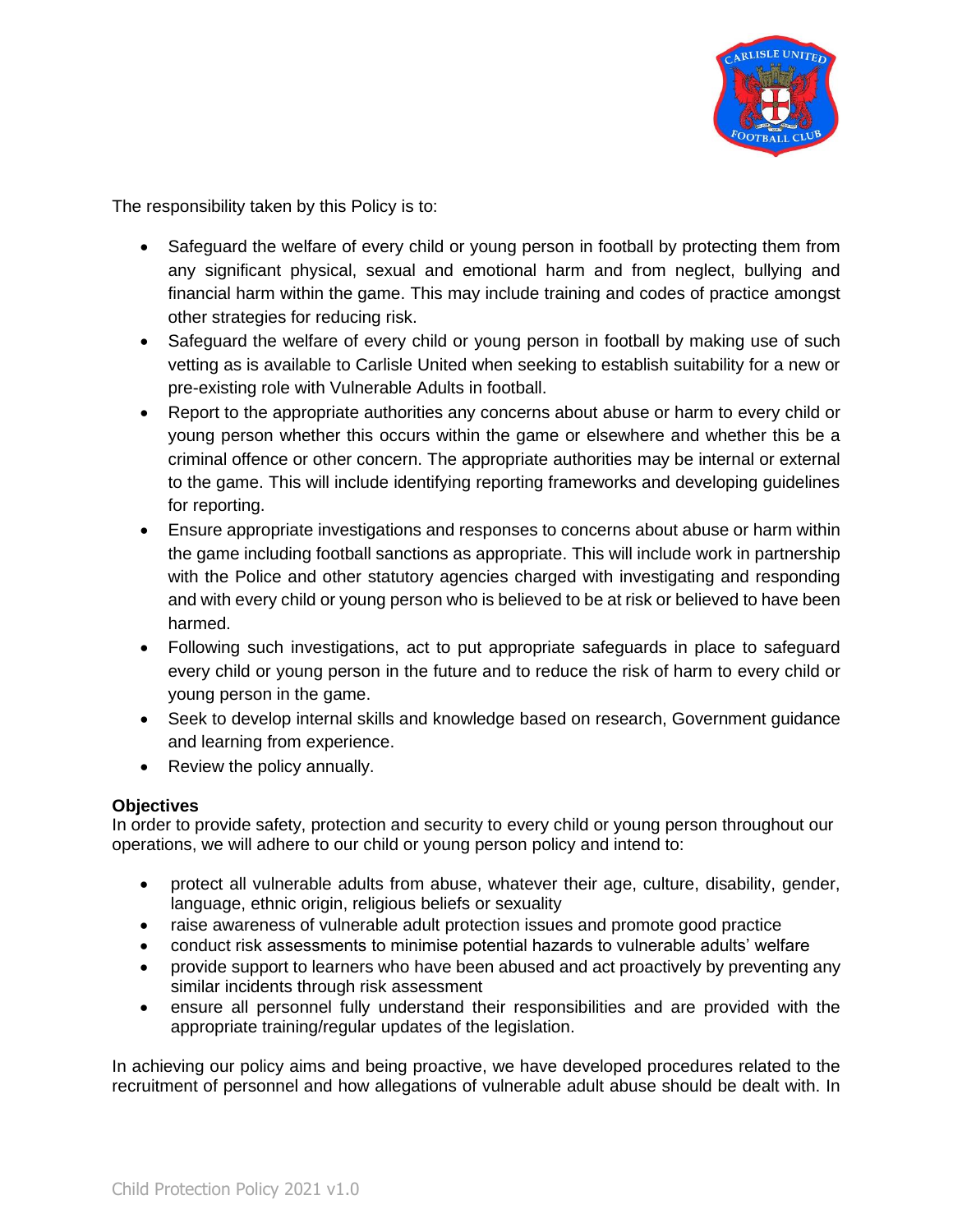

The responsibility taken by this Policy is to:

- Safeguard the welfare of every child or young person in football by protecting them from any significant physical, sexual and emotional harm and from neglect, bullying and financial harm within the game. This may include training and codes of practice amongst other strategies for reducing risk.
- Safeguard the welfare of every child or young person in football by making use of such vetting as is available to Carlisle United when seeking to establish suitability for a new or pre-existing role with Vulnerable Adults in football.
- Report to the appropriate authorities any concerns about abuse or harm to every child or young person whether this occurs within the game or elsewhere and whether this be a criminal offence or other concern. The appropriate authorities may be internal or external to the game. This will include identifying reporting frameworks and developing guidelines for reporting.
- Ensure appropriate investigations and responses to concerns about abuse or harm within the game including football sanctions as appropriate. This will include work in partnership with the Police and other statutory agencies charged with investigating and responding and with every child or young person who is believed to be at risk or believed to have been harmed.
- Following such investigations, act to put appropriate safeguards in place to safeguard every child or young person in the future and to reduce the risk of harm to every child or young person in the game.
- Seek to develop internal skills and knowledge based on research, Government guidance and learning from experience.
- Review the policy annually.

# **Objectives**

In order to provide safety, protection and security to every child or young person throughout our operations, we will adhere to our child or young person policy and intend to:

- protect all vulnerable adults from abuse, whatever their age, culture, disability, gender, language, ethnic origin, religious beliefs or sexuality
- raise awareness of vulnerable adult protection issues and promote good practice
- conduct risk assessments to minimise potential hazards to vulnerable adults' welfare
- provide support to learners who have been abused and act proactively by preventing any similar incidents through risk assessment
- ensure all personnel fully understand their responsibilities and are provided with the appropriate training/regular updates of the legislation.

In achieving our policy aims and being proactive, we have developed procedures related to the recruitment of personnel and how allegations of vulnerable adult abuse should be dealt with. In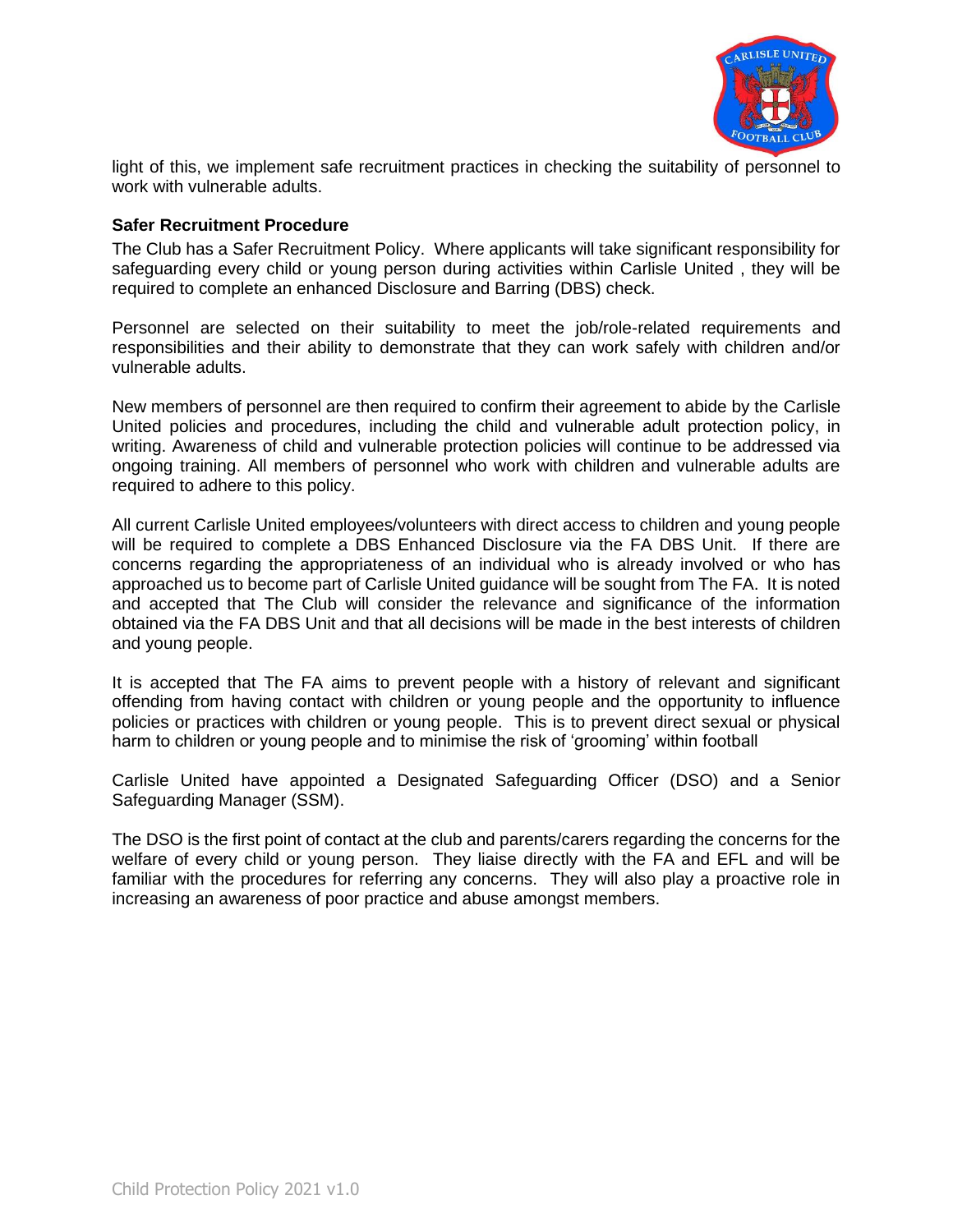

light of this, we implement safe recruitment practices in checking the suitability of personnel to work with vulnerable adults.

### **Safer Recruitment Procedure**

The Club has a Safer Recruitment Policy. Where applicants will take significant responsibility for safeguarding every child or young person during activities within Carlisle United , they will be required to complete an enhanced Disclosure and Barring (DBS) check.

Personnel are selected on their suitability to meet the job/role-related requirements and responsibilities and their ability to demonstrate that they can work safely with children and/or vulnerable adults.

New members of personnel are then required to confirm their agreement to abide by the Carlisle United policies and procedures, including the child and vulnerable adult protection policy, in writing. Awareness of child and vulnerable protection policies will continue to be addressed via ongoing training. All members of personnel who work with children and vulnerable adults are required to adhere to this policy.

All current Carlisle United employees/volunteers with direct access to children and young people will be required to complete a DBS Enhanced Disclosure via the FA DBS Unit. If there are concerns regarding the appropriateness of an individual who is already involved or who has approached us to become part of Carlisle United guidance will be sought from The FA. It is noted and accepted that The Club will consider the relevance and significance of the information obtained via the FA DBS Unit and that all decisions will be made in the best interests of children and young people.

It is accepted that The FA aims to prevent people with a history of relevant and significant offending from having contact with children or young people and the opportunity to influence policies or practices with children or young people. This is to prevent direct sexual or physical harm to children or young people and to minimise the risk of 'grooming' within football

Carlisle United have appointed a Designated Safeguarding Officer (DSO) and a Senior Safeguarding Manager (SSM).

The DSO is the first point of contact at the club and parents/carers regarding the concerns for the welfare of every child or young person. They liaise directly with the FA and EFL and will be familiar with the procedures for referring any concerns. They will also play a proactive role in increasing an awareness of poor practice and abuse amongst members.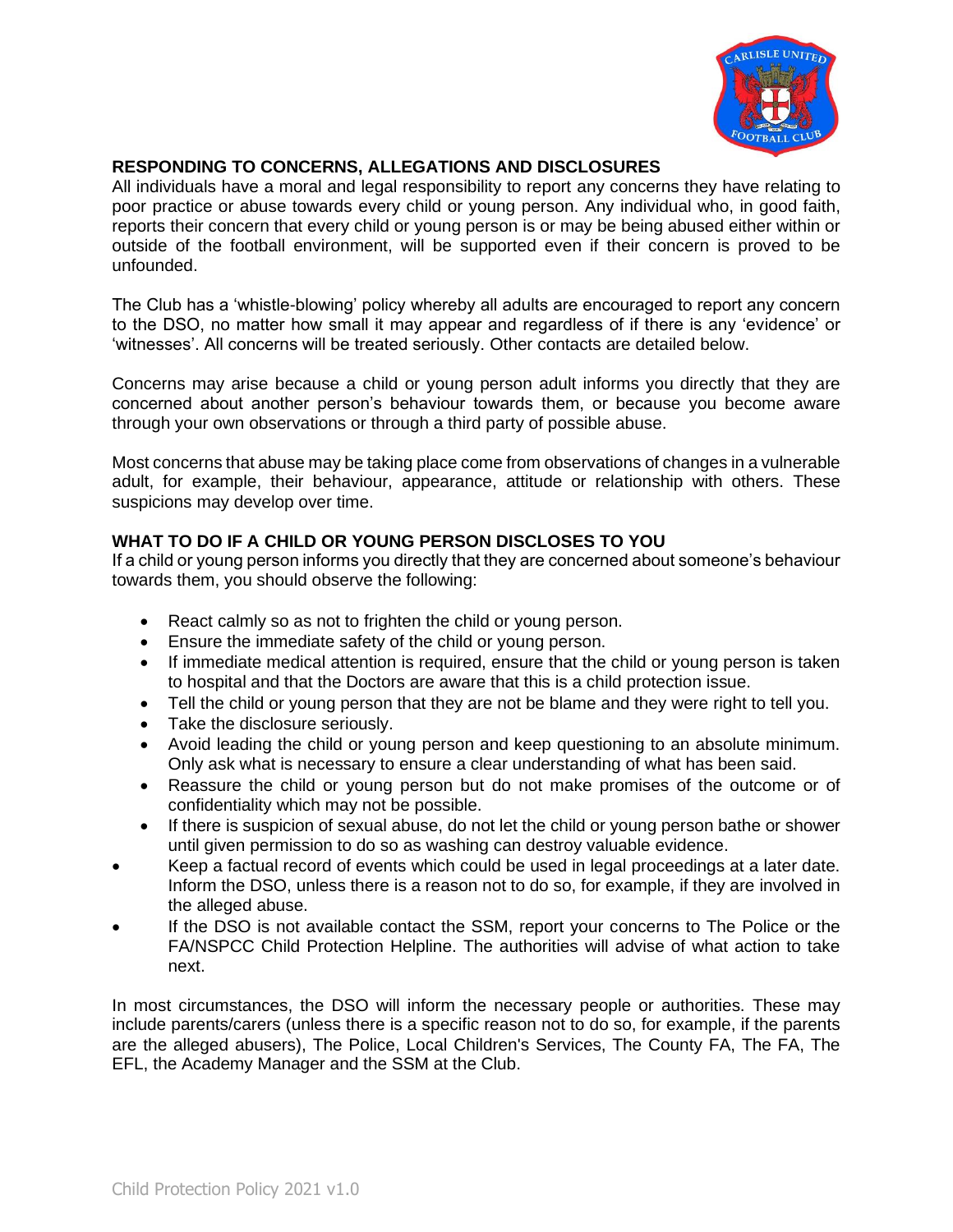

# **RESPONDING TO CONCERNS, ALLEGATIONS AND DISCLOSURES**

All individuals have a moral and legal responsibility to report any concerns they have relating to poor practice or abuse towards every child or young person. Any individual who, in good faith, reports their concern that every child or young person is or may be being abused either within or outside of the football environment, will be supported even if their concern is proved to be unfounded.

The Club has a 'whistle-blowing' policy whereby all adults are encouraged to report any concern to the DSO, no matter how small it may appear and regardless of if there is any 'evidence' or 'witnesses'. All concerns will be treated seriously. Other contacts are detailed below.

Concerns may arise because a child or young person adult informs you directly that they are concerned about another person's behaviour towards them, or because you become aware through your own observations or through a third party of possible abuse.

Most concerns that abuse may be taking place come from observations of changes in a vulnerable adult, for example, their behaviour, appearance, attitude or relationship with others. These suspicions may develop over time.

# **WHAT TO DO IF A CHILD OR YOUNG PERSON DISCLOSES TO YOU**

If a child or young person informs you directly that they are concerned about someone's behaviour towards them, you should observe the following:

- React calmly so as not to frighten the child or young person.
- Ensure the immediate safety of the child or young person.
- If immediate medical attention is required, ensure that the child or young person is taken to hospital and that the Doctors are aware that this is a child protection issue.
- Tell the child or young person that they are not be blame and they were right to tell you.
- Take the disclosure seriously.
- Avoid leading the child or young person and keep questioning to an absolute minimum. Only ask what is necessary to ensure a clear understanding of what has been said.
- Reassure the child or young person but do not make promises of the outcome or of confidentiality which may not be possible.
- If there is suspicion of sexual abuse, do not let the child or young person bathe or shower until given permission to do so as washing can destroy valuable evidence.
- Keep a factual record of events which could be used in legal proceedings at a later date. Inform the DSO, unless there is a reason not to do so, for example, if they are involved in the alleged abuse.
- If the DSO is not available contact the SSM, report your concerns to The Police or the FA/NSPCC Child Protection Helpline. The authorities will advise of what action to take next.

In most circumstances, the DSO will inform the necessary people or authorities. These may include parents/carers (unless there is a specific reason not to do so, for example, if the parents are the alleged abusers), The Police, Local Children's Services, The County FA, The FA, The EFL, the Academy Manager and the SSM at the Club.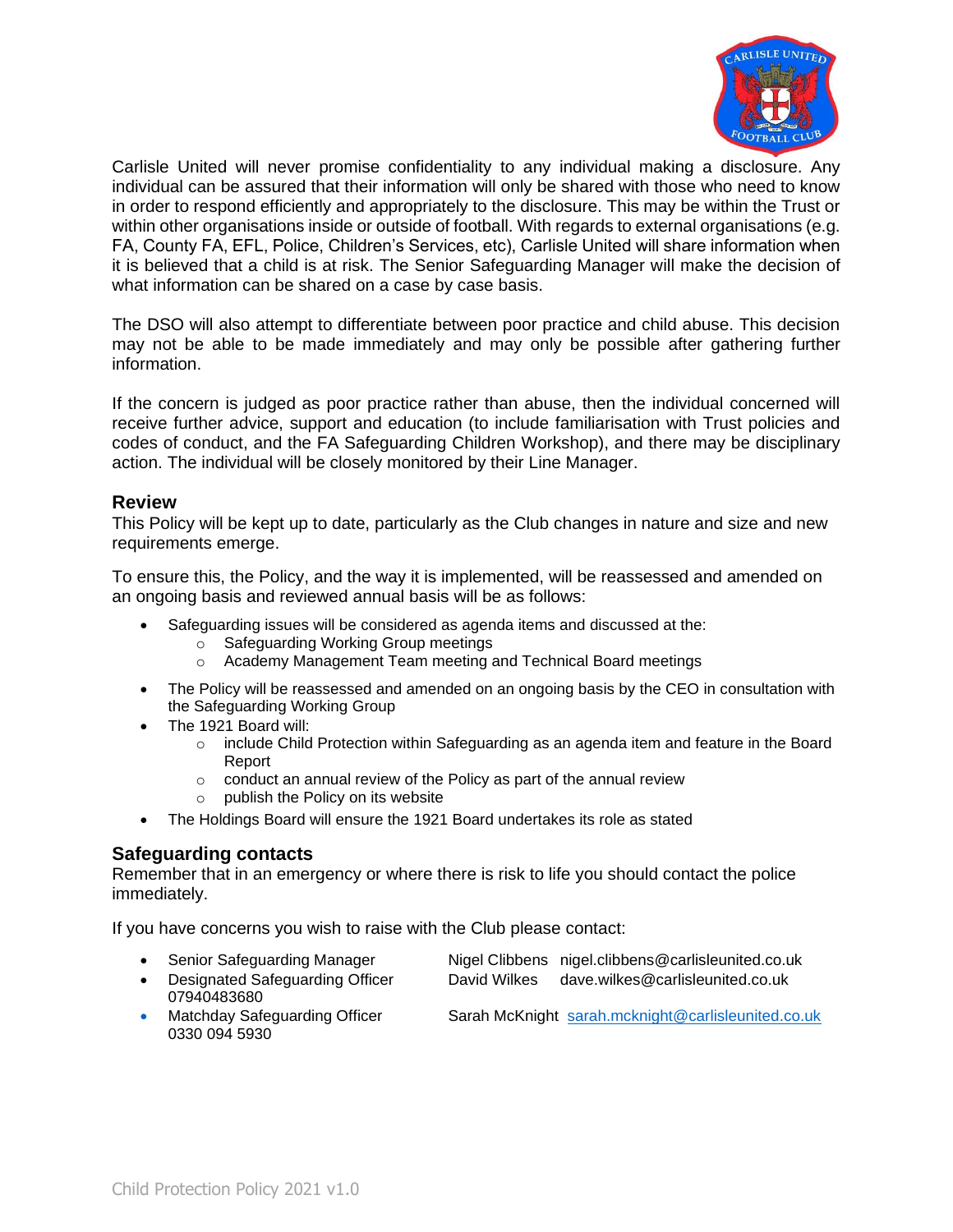

Carlisle United will never promise confidentiality to any individual making a disclosure. Any individual can be assured that their information will only be shared with those who need to know in order to respond efficiently and appropriately to the disclosure. This may be within the Trust or within other organisations inside or outside of football. With regards to external organisations (e.g. FA, County FA, EFL, Police, Children's Services, etc), Carlisle United will share information when it is believed that a child is at risk. The Senior Safeguarding Manager will make the decision of what information can be shared on a case by case basis.

The DSO will also attempt to differentiate between poor practice and child abuse. This decision may not be able to be made immediately and may only be possible after gathering further information.

If the concern is judged as poor practice rather than abuse, then the individual concerned will receive further advice, support and education (to include familiarisation with Trust policies and codes of conduct, and the FA Safeguarding Children Workshop), and there may be disciplinary action. The individual will be closely monitored by their Line Manager.

### **Review**

This Policy will be kept up to date, particularly as the Club changes in nature and size and new requirements emerge.

To ensure this, the Policy, and the way it is implemented, will be reassessed and amended on an ongoing basis and reviewed annual basis will be as follows:

- Safeguarding issues will be considered as agenda items and discussed at the:
	- o Safeguarding Working Group meetings
	- o Academy Management Team meeting and Technical Board meetings
- The Policy will be reassessed and amended on an ongoing basis by the CEO in consultation with the Safeguarding Working Group
- The 1921 Board will:
	- o include Child Protection within Safeguarding as an agenda item and feature in the Board Report
	- $\circ$  conduct an annual review of the Policy as part of the annual review
	- o publish the Policy on its website
- The Holdings Board will ensure the 1921 Board undertakes its role as stated

## **Safeguarding contacts**

Remember that in an emergency or where there is risk to life you should contact the police immediately.

If you have concerns you wish to raise with the Club please contact:

- Senior Safeguarding Manager Nigel Clibbens nigel.clibbens@carlisleunited.co.uk
- Designated Safeguarding Officer David Wilkes dave.wilkes@carlisleunited.co.uk 07940483680
- Matchday Safeguarding Officer Sarah McKnight [sarah.mcknight@carlisleunited.co.uk](mailto:sarah.mcknight@carlisleunited.co.uk) 0330 094 5930